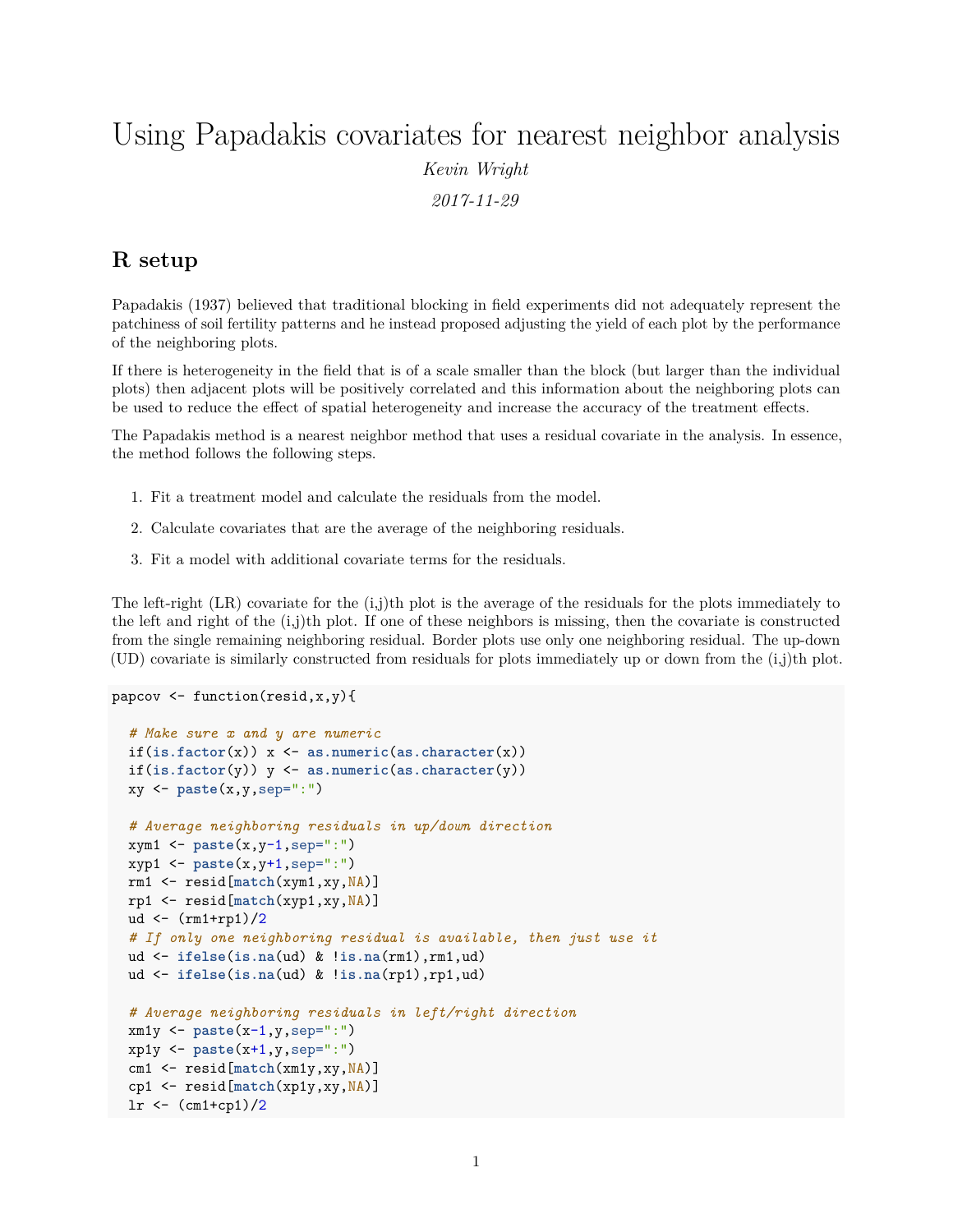# Using Papadakis covariates for nearest neighbor analysis *Kevin Wright 2017-11-29*

## **R setup**

Papadakis (1937) believed that traditional blocking in field experiments did not adequately represent the patchiness of soil fertility patterns and he instead proposed adjusting the yield of each plot by the performance of the neighboring plots.

If there is heterogeneity in the field that is of a scale smaller than the block (but larger than the individual plots) then adjacent plots will be positively correlated and this information about the neighboring plots can be used to reduce the effect of spatial heterogeneity and increase the accuracy of the treatment effects.

The Papadakis method is a nearest neighbor method that uses a residual covariate in the analysis. In essence, the method follows the following steps.

- 1. Fit a treatment model and calculate the residuals from the model.
- 2. Calculate covariates that are the average of the neighboring residuals.
- 3. Fit a model with additional covariate terms for the residuals.

The left-right  $(LR)$  covariate for the  $(i,j)$ th plot is the average of the residuals for the plots immediately to the left and right of the  $(i,j)$ th plot. If one of these neighbors is missing, then the covariate is constructed from the single remaining neighboring residual. Border plots use only one neighboring residual. The up-down (UD) covariate is similarly constructed from residuals for plots immediately up or down from the (i,j)th plot.

```
papcov <- function(resid,x,y){
  # Make sure x and y are numeric
  if(is.factor(x)) x <- as.numeric(as.character(x))
  if(is.factor(y)) y <- as.numeric(as.character(y))
  xy <- paste(x,y,sep=":")
  # Average neighboring residuals in up/down direction
  xym1 <- paste(x,y-1,sep=":")
  xyp1 <- paste(x,y+1,sep=":")
  rm1 <- resid[match(xym1,xy,NA)]
  rp1 <- resid[match(xyp1,xy,NA)]
  ud \left.\left(-\frac{\text{rm1+rp1}}{2}\right)\right/2# If only one neighboring residual is available, then just use it
  ud <- ifelse(is.na(ud) & !is.na(rm1),rm1,ud)
  ud <- ifelse(is.na(ud) & !is.na(rp1),rp1,ud)
  # Average neighboring residuals in left/right direction
  xm1y <- paste(x-1,y,sep=":")
  xp1y <- paste(x+1,y,sep=":")
  cm1 <- resid[match(xm1y,xy,NA)]
  cp1 <- resid[match(xp1y,xy,NA)]
  lr \leftarrow \frac{cm1+cp1}{2}
```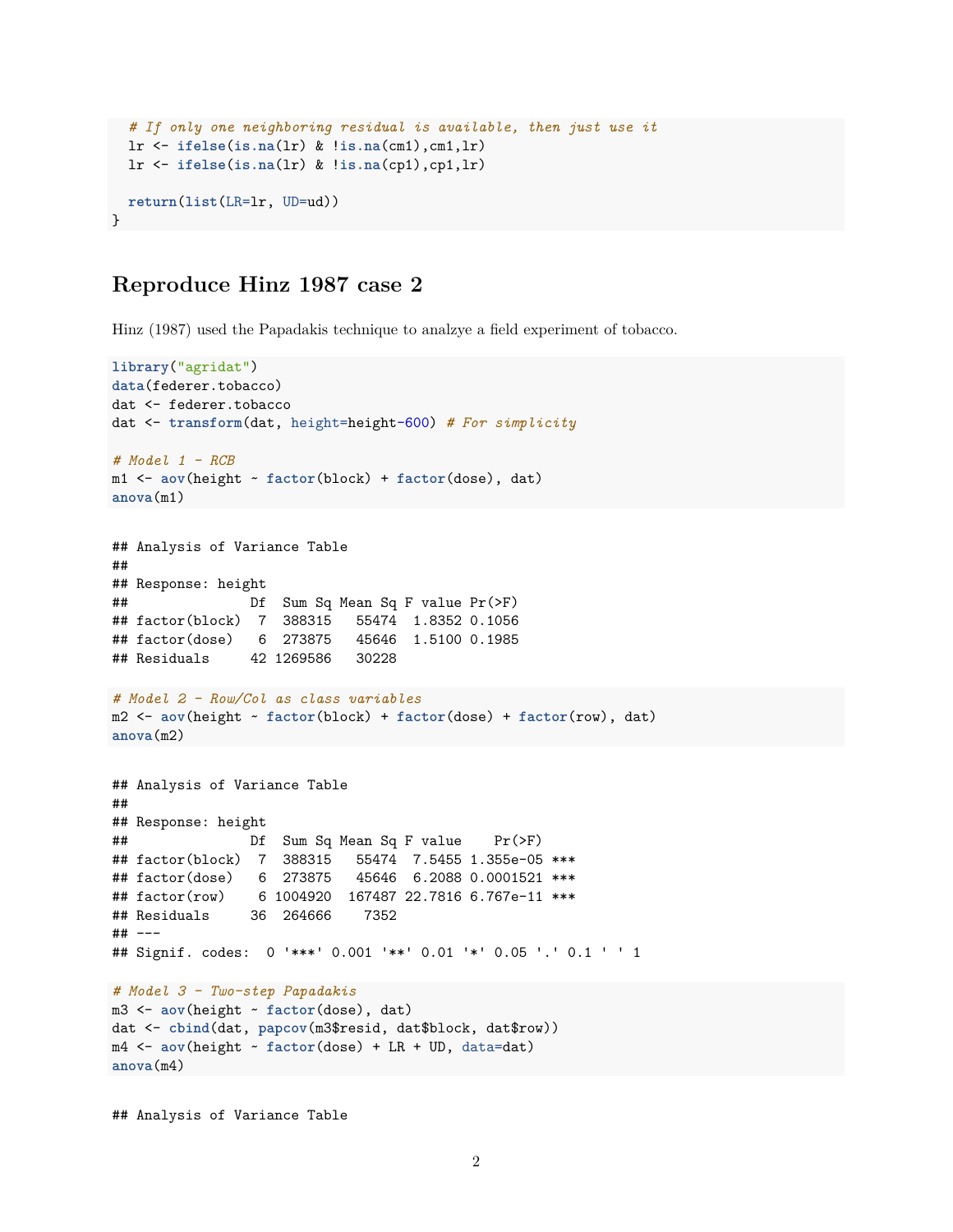```
# If only one neighboring residual is available, then just use it
  lr <- ifelse(is.na(lr) & !is.na(cm1),cm1,lr)
  lr <- ifelse(is.na(lr) & !is.na(cp1),cp1,lr)
  return(list(LR=lr, UD=ud))
}
```
### **Reproduce Hinz 1987 case 2**

Hinz (1987) used the Papadakis technique to analzye a field experiment of tobacco.

```
library("agridat")
data(federer.tobacco)
dat <- federer.tobacco
dat <- transform(dat, height=height-600) # For simplicity
# Model 1 - RCB
m1 <- aov(height ~ factor(block) + factor(dose), dat)
anova(m1)
## Analysis of Variance Table
##
## Response: height
## Df Sum Sq Mean Sq F value Pr(>F)
## factor(block) 7 388315 55474 1.8352 0.1056
## factor(dose) 6 273875
## Residuals 42 1269586 30228
# Model 2 - Row/Col as class variables
m2 <- aov(height ~ factor(block) + factor(dose) + factor(row), dat)
anova(m2)
## Analysis of Variance Table
##
## Response: height
## Df Sum Sq Mean Sq F value Pr(>F)
## factor(block) 7 388315 55474 7.5455 1.355e-05 ***
## factor(dose) 6 273875 45646 6.2088 0.0001521 ***
## factor(row) 6 1004920 167487 22.7816 6.767e-11 ***
## Residuals 36 264666 7352
## ---
## Signif. codes: 0 '***' 0.001 '**' 0.01 '*' 0.05 '.' 0.1 ' ' 1
# Model 3 - Two-step Papadakis
m3 <- aov(height ~ factor(dose), dat)
dat <- cbind(dat, papcov(m3$resid, dat$block, dat$row))
m4 <- aov(height ~ factor(dose) + LR + UD, data=dat)
anova(m4)
```
## Analysis of Variance Table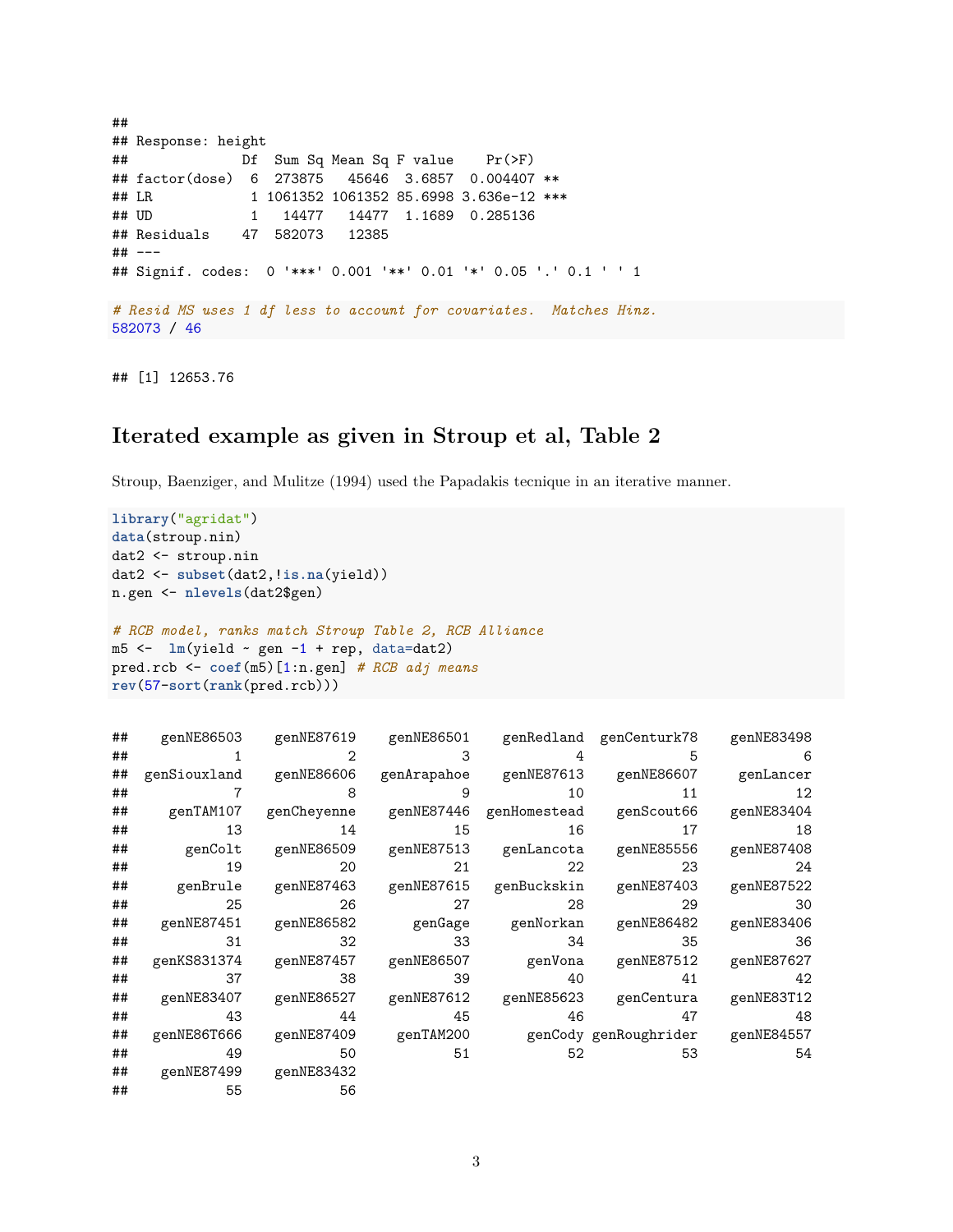```
##
## Response: height
## Df Sum Sq Mean Sq F value Pr(>F)
## factor(dose) 6 273875 45646 3.6857 0.004407 **
## LR 1 1061352 1061352 85.6998 3.636e-12 ***
## UD 1 14477 14477 1.1689 0.285136
## Residuals 47 582073 12385
## ---
## Signif. codes: 0 '***' 0.001 '**' 0.01 '*' 0.05 '.' 0.1 ' ' 1
# Resid MS uses 1 df less to account for covariates. Matches Hinz.
582073 / 46
```
## [1] 12653.76

#### **Iterated example as given in Stroup et al, Table 2**

Stroup, Baenziger, and Mulitze (1994) used the Papadakis tecnique in an iterative manner.

```
library("agridat")
data(stroup.nin)
dat2 <- stroup.nin
dat2 <- subset(dat2,!is.na(yield))
n.gen <- nlevels(dat2$gen)
# RCB model, ranks match Stroup Table 2, RCB Alliance
m5 <- lm(yield ~ gen -1 + rep, data=dat2)
pred.rcb <- coef(m5)[1:n.gen] # RCB adj means
rev(57-sort(rank(pred.rcb)))
```

| ## |                | genNE86503 genNE87619 |    |    | genNE86501 genRedland genCenturk78 genNE83498                       |      |
|----|----------------|-----------------------|----|----|---------------------------------------------------------------------|------|
| ## |                | 2                     | 3  |    | 5                                                                   | 6    |
| ## | genSiouxland   | genNE86606            |    |    | genArapahoe genNE87613 genNE86607 genLancer                         |      |
| ## | $\overline{7}$ | 8                     | 9  | 10 | 11                                                                  | 12   |
| ## |                |                       |    |    | genTAM107 genCheyenne genNE87446 genHomestead genScout66 genNE83404 |      |
| ## | 13             | 14                    | 15 | 16 | 17                                                                  | 18   |
| ## |                |                       |    |    | genColt genNE86509 genNE87513 genLancota genNE85556 genNE87408      |      |
| ## | 19             | 20                    | 21 | 22 | 23                                                                  | 24   |
| ## |                |                       |    |    | genBrule genNE87463 genNE87615 genBuckskin genNE87403 genNE87522    |      |
| ## | 25             | 26                    | 27 | 28 | 29                                                                  | - 30 |
| ## | genNE87451     | genNE86582            |    |    | genGage genNorkan genNE86482 genNE83406                             |      |
| ## | 31             | 32                    | 33 | 34 | 35                                                                  | - 36 |
| ## | genKS831374    |                       |    |    | genNE87457 genNE86507 genVona genNE87512 genNE87627                 |      |
| ## | 37             | 38                    | 39 | 40 | 41                                                                  | 42   |
| ## | genNE83407     |                       |    |    | genNE86527 genNE87612 genNE85623 genCentura genNE83T12              |      |
| ## | 43             | 44                    | 45 | 46 | 47                                                                  | 48   |
| ## | genNE86T666    |                       |    |    |                                                                     |      |
| ## | 49             | 50                    | 51 | 52 | 53                                                                  | 54   |
| ## | genNE87499     | genNE83432            |    |    |                                                                     |      |
| ## | 55             | 56                    |    |    |                                                                     |      |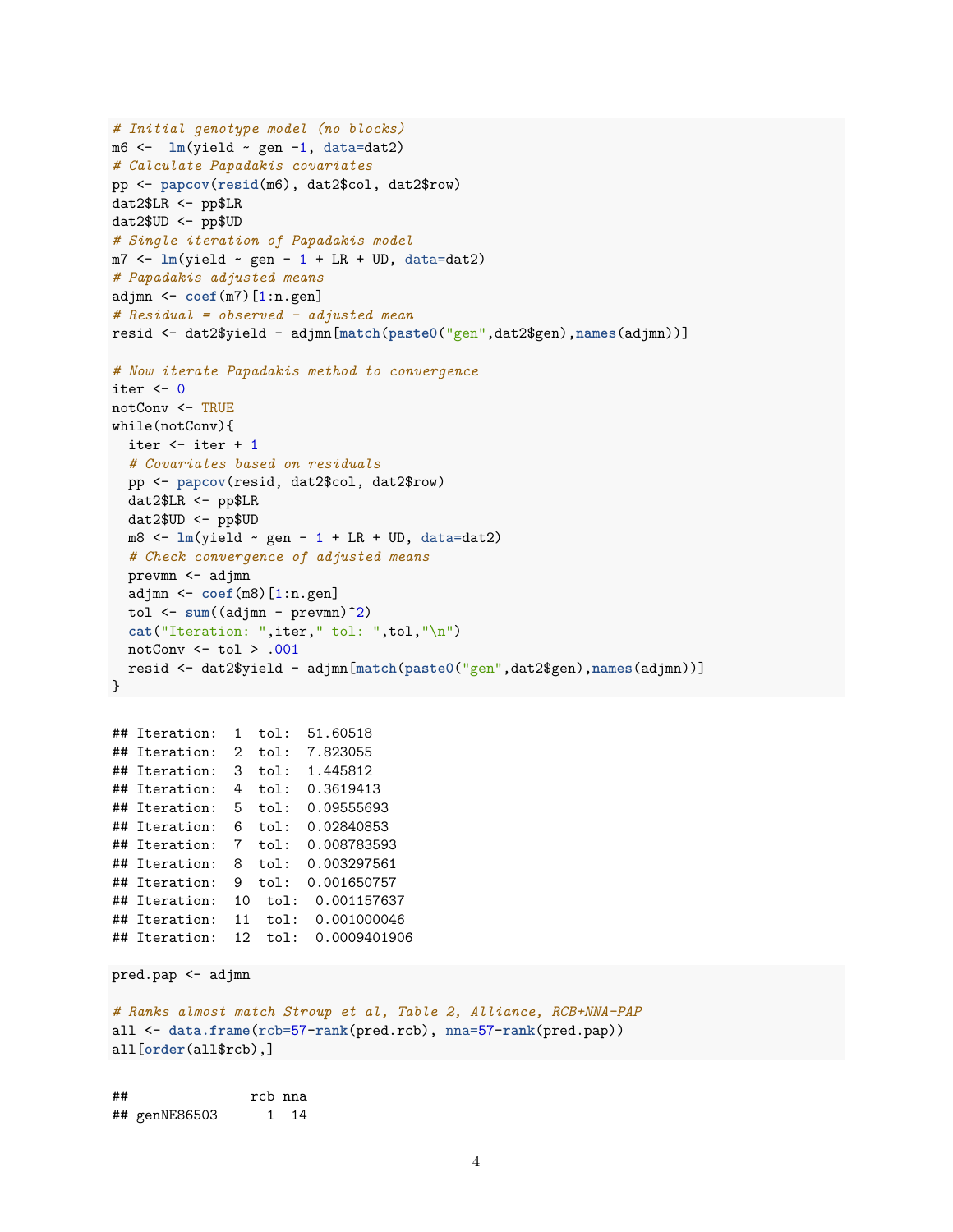```
# Initial genotype model (no blocks)
m6 <- lm(yield ~ gen -1, data=dat2)
# Calculate Papadakis covariates
pp <- papcov(resid(m6), dat2$col, dat2$row)
dat2$LR <- pp$LR
dat2$UD <- pp$UD
# Single iteration of Papadakis model
m7 \leq -\ln(\text{yield} \sim \text{gen} - 1 + LR + UD, \text{ data}=data2)# Papadakis adjusted means
adjmn <- coef(m7)[1:n.gen]
# Residual = observed - adjusted mean
resid <- dat2$yield - adjmn[match(paste0("gen",dat2$gen),names(adjmn))]
# Now iterate Papadakis method to convergence
iter <-0notConv <- TRUE
while(notConv){
 iter <- iter + 1
  # Covariates based on residuals
  pp <- papcov(resid, dat2$col, dat2$row)
 dat2$LR <- pp$LR
  dat2$UD <- pp$UD
 m8 <- lm(yield \sim gen - 1 + LR + UD, data=dat2)# Check convergence of adjusted means
 prevmn <- adjmn
  adjmn <- coef(m8)[1:n.gen]
 tol <- sum((adjmn - prevmn)^2)
 cat("Iteration: ",iter," tol: ",tol,"\n")
 notConv <- tol > .001
 resid <- dat2$yield - adjmn[match(paste0("gen",dat2$gen),names(adjmn))]
}
## Iteration: 1 tol: 51.60518
## Iteration: 2 tol: 7.823055
## Iteration: 3 tol: 1.445812
## Iteration: 4 tol: 0.3619413
## Iteration: 5 tol: 0.09555693
## Iteration: 6 tol: 0.02840853
## Iteration: 7 tol: 0.008783593
## Iteration: 8 tol: 0.003297561
## Iteration: 9 tol: 0.001650757
## Iteration: 10 tol: 0.001157637
## Iteration: 11 tol: 0.001000046
## Iteration: 12 tol: 0.0009401906
pred.pap <- adjmn
# Ranks almost match Stroup et al, Table 2, Alliance, RCB+NNA-PAP
all <- data.frame(rcb=57-rank(pred.rcb), nna=57-rank(pred.pap))
all[order(all$rcb),]
```
## rcb nna ## genNE86503 1 14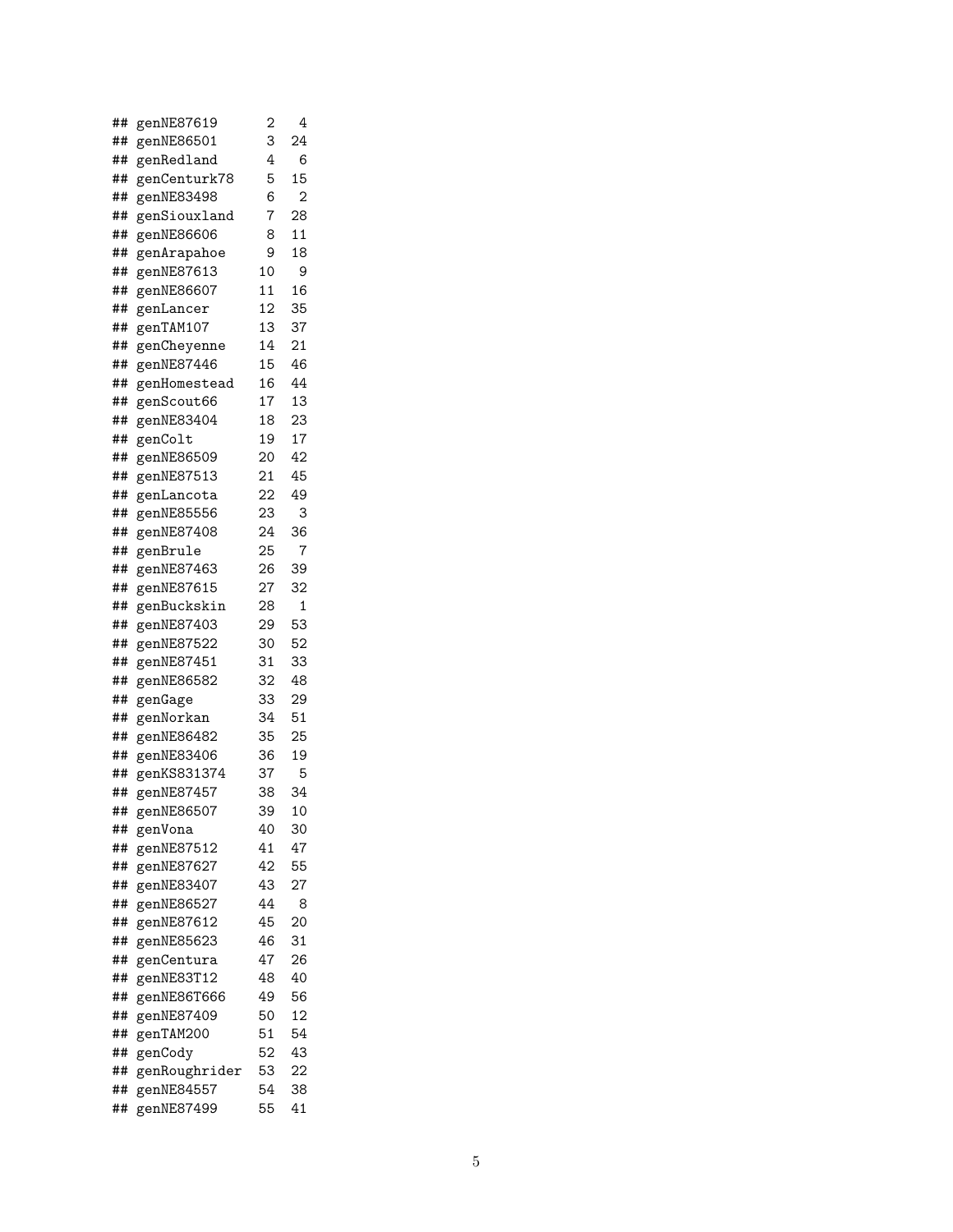| ## | genNE87619    | $\overline{c}$ | 4              |
|----|---------------|----------------|----------------|
| ## | genNE86501    | 3              | 24             |
| ## | genRedland    | 4              | 6              |
| ## | genCenturk78  | 5              | 15             |
| ## | genNE83498    | 6              | $\overline{2}$ |
| ## | genSiouxland  | 7              | 28             |
| ## | genNE86606    | 8              | 11             |
| ## | genArapahoe   | 9              | 18             |
| ## | genNE87613    | 10             | 9              |
| ## | genNE86607    | 11             | 16             |
| ## | genLancer     | 12             | 35             |
| ## | genTAM107     | 13             | 37             |
| ## | genCheyenne   | 14             | 21             |
| ## | genNE87446    | 15             | 46             |
| ## | genHomestead  | 16             | 44             |
| ## | genScout66    | 17             | 13             |
| ## | genNE83404    | 18             | 23             |
| ## | genColt       | 19             | 17             |
| ## | genNE86509    | 20             | 42             |
| ## | genNE87513    | 21             | 45             |
| ## | genLancota    | 22             | 49             |
| ## | genNE85556    | 23             | 3              |
| ## | genNE87408    | 24             | 36             |
| ## | genBrule      | 25             | 7              |
| ## | genNE87463    | 26             | 39             |
| ## | genNE87615    | 27             | 32             |
| ## | genBuckskin   | 28             | 1              |
| ## | genNE87403    | 29             | 53             |
| ## | genNE87522    | 30             | 52             |
| ## | genNE87451    | 31             | 33             |
| ## | genNE86582    | 32             | 48             |
| ## | genGage       | 33             | 29             |
| ## | genNorkan     | 34             | 51             |
| ## | genNE86482    | 35             | 25             |
| ## | genNE83406    | 36             | 19             |
| ## | genKS831374   | 37             | 5              |
| ## | genNE87457    | 38             | 34             |
| ## | genNE86507    | 39             | 10             |
| ## | genVona       | 40             | 30             |
| ## | genNE87512    | 41             | 47             |
| ## | genNE87627    | 42             | 55             |
| ## | genNE83407    | 43             | 27             |
| ## | genNE86527    | 44             | 8              |
| ## | genNE87612    | 45             | 20             |
| ## | genNE85623    | 46             | 31             |
| ## | genCentura    | 47             | 26             |
| ## | genNE83T12    | 48             | 40             |
| ## | genNE86T666   | 49             | 56             |
| ## | genNE87409    | 50             | 12             |
| ## | genTAM200     | 51             | 54             |
| ## | genCody       | 52             | 43             |
| ## | genRoughrider | 53             | 22             |
| ## | genNE84557    | 54             | 38             |
| ## | genNE87499    | 55             | 41             |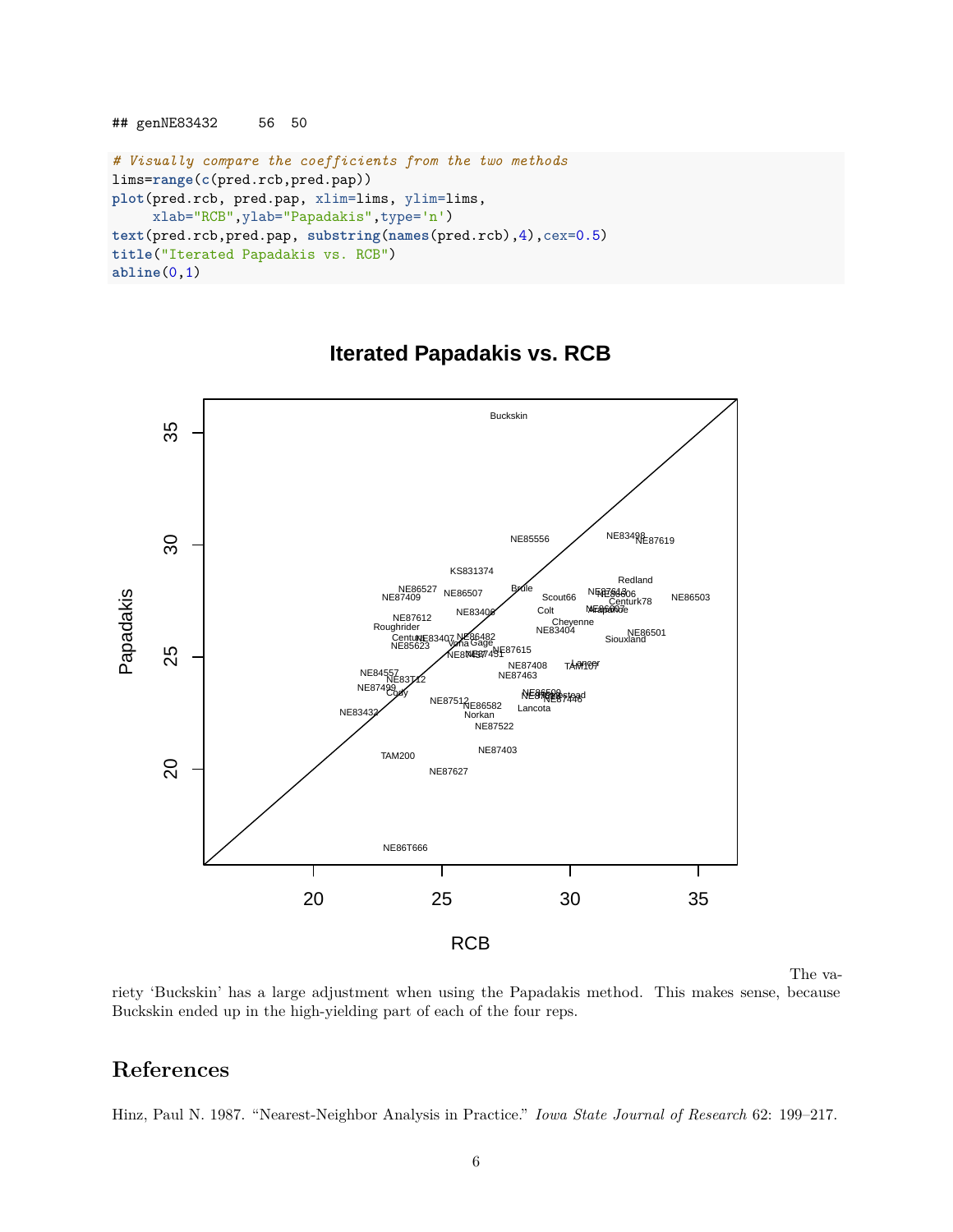```
## genNE83432 56 50
# Visually compare the coefficients from the two methods
lims=range(c(pred.rcb,pred.pap))
plot(pred.rcb, pred.pap, xlim=lims, ylim=lims,
     xlab="RCB",ylab="Papadakis",type='n')
text(pred.rcb,pred.pap, substring(names(pred.rcb),4),cex=0.5)
title("Iterated Papadakis vs. RCB")
abline(0,1)
```


### **Iterated Papadakis vs. RCB**

The va-

riety 'Buckskin' has a large adjustment when using the Papadakis method. This makes sense, because Buckskin ended up in the high-yielding part of each of the four reps.

## **References**

Hinz, Paul N. 1987. "Nearest-Neighbor Analysis in Practice." *Iowa State Journal of Research* 62: 199–217.